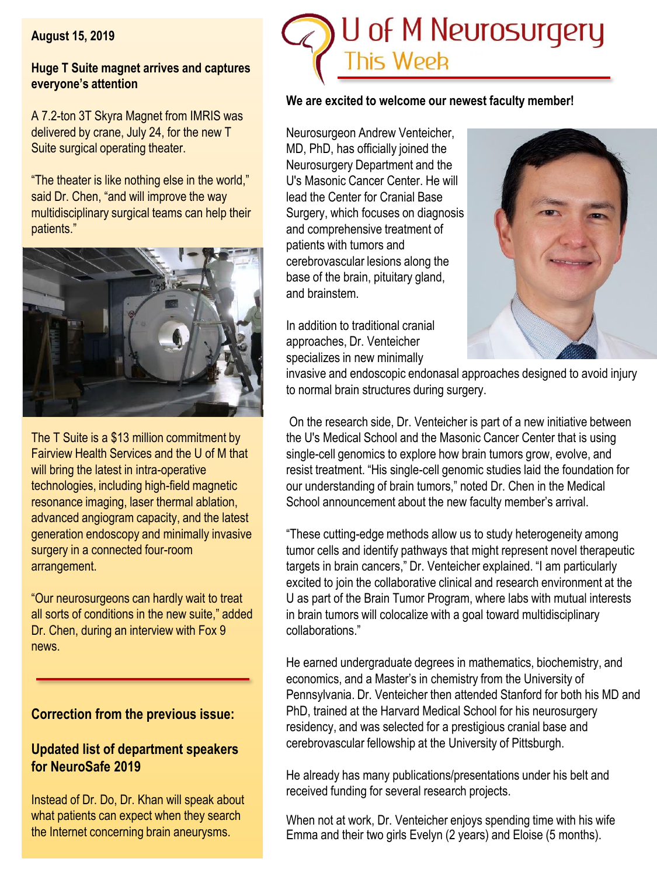**August 15, 2019**

#### **Huge T Suite magnet arrives and captures everyone's attention**

A 7.2-ton 3T Skyra Magnet from IMRIS was delivered by crane, July 24, for the new T Suite surgical operating theater.

"The theater is like nothing else in the world," said Dr. Chen, "and will improve the way multidisciplinary surgical teams can help their patients."



The T Suite is a \$13 million commitment by Fairview Health Services and the U of M that will bring the latest in intra-operative technologies, including high-field magnetic resonance imaging, laser thermal ablation, advanced angiogram capacity, and the latest generation endoscopy and minimally invasive surgery in a connected four-room arrangement.

"Our neurosurgeons can hardly wait to treat all sorts of conditions in the new suite," added Dr. Chen, during an interview with Fox 9 news.

# **Correction from the previous issue:**

# **Updated list of department speakers for NeuroSafe 2019**

Instead of Dr. Do, Dr. Khan will speak about what patients can expect when they search the Internet concerning brain aneurysms.



#### **We are excited to welcome our newest faculty member!**

Neurosurgeon Andrew Venteicher, MD, PhD, has officially joined the Neurosurgery Department and the U's Masonic Cancer Center. He will lead the Center for Cranial Base Surgery, which focuses on diagnosis and comprehensive treatment of patients with tumors and cerebrovascular lesions along the base of the brain, pituitary gland, and brainstem.

In addition to traditional cranial approaches, Dr. Venteicher specializes in new minimally



invasive and endoscopic endonasal approaches designed to avoid injury to normal brain structures during surgery.

On the research side, Dr. Venteicher is part of a new initiative between the U's Medical School and the Masonic Cancer Center that is using single-cell genomics to explore how brain tumors grow, evolve, and resist treatment. "His single-cell genomic studies laid the foundation for our understanding of brain tumors," noted Dr. Chen in the Medical School announcement about the new faculty member's arrival.

"These cutting-edge methods allow us to study heterogeneity among tumor cells and identify pathways that might represent novel therapeutic targets in brain cancers," Dr. Venteicher explained. "I am particularly excited to join the collaborative clinical and research environment at the U as part of the Brain Tumor Program, where labs with mutual interests in brain tumors will colocalize with a goal toward multidisciplinary collaborations."

He earned undergraduate degrees in mathematics, biochemistry, and economics, and a Master's in chemistry from the University of Pennsylvania. Dr. Venteicher then attended Stanford for both his MD and PhD, trained at the Harvard Medical School for his neurosurgery residency, and was selected for a prestigious cranial base and cerebrovascular fellowship at the University of Pittsburgh.

He already has many publications/presentations under his belt and received funding for several research projects.

When not at work, Dr. Venteicher enjoys spending time with his wife Emma and their two girls Evelyn (2 years) and Eloise (5 months).